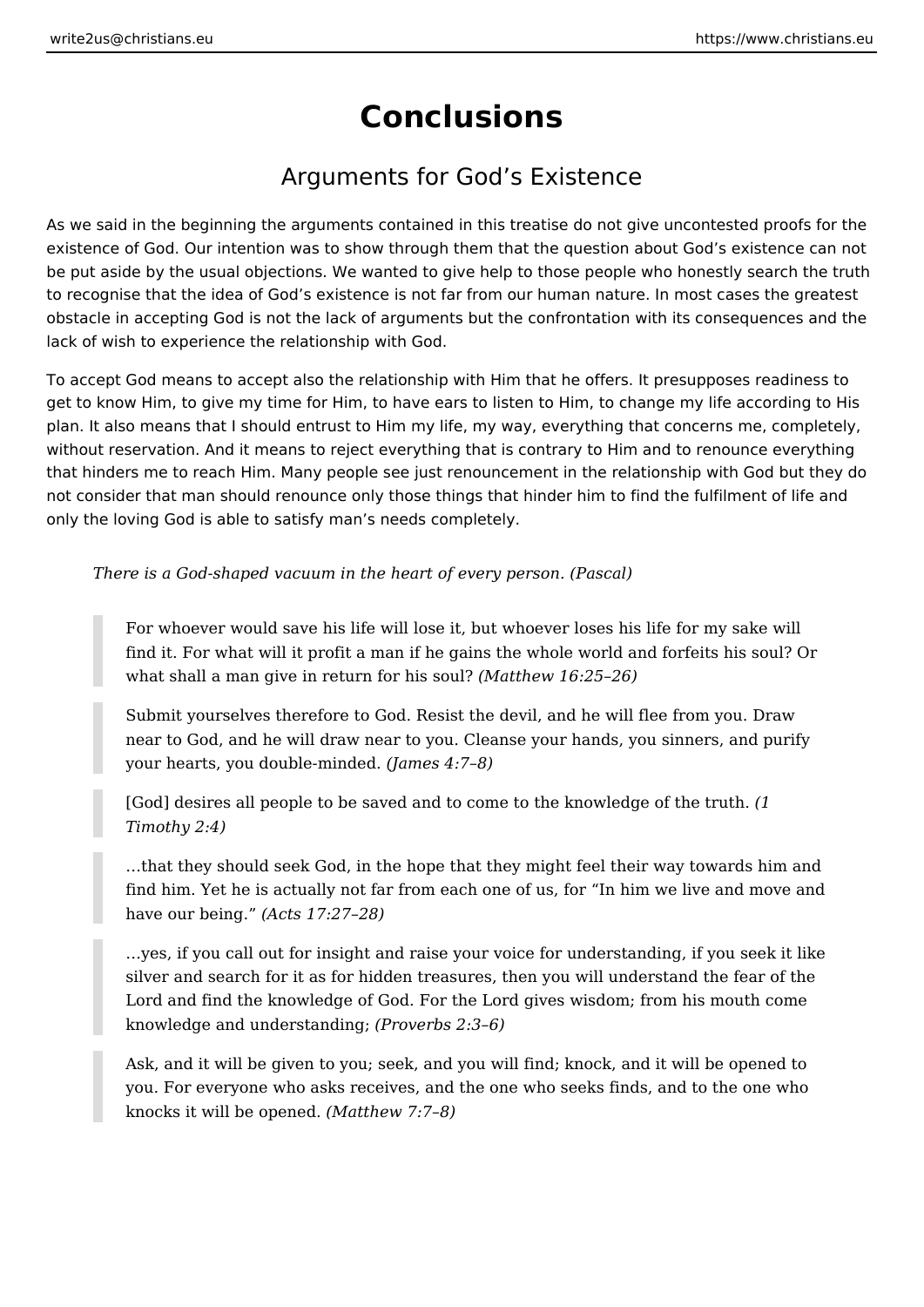## **Conclusions**

## Arguments for God's Existence

As we said in the beginning the arguments contained in this treatise do not give uncontested proofs for the existence of God. Our intention was to show through them that the question about God's existence can not be put aside by the usual objections. We wanted to give help to those people who honestly search the truth to recognise that the idea of God's existence is not far from our human nature. In most cases the greatest obstacle in accepting God is not the lack of arguments but the confrontation with its consequences and the lack of wish to experience the relationship with God.

To accept God means to accept also the relationship with Him that he offers. It presupposes readiness to get to know Him, to give my time for Him, to have ears to listen to Him, to change my life according to His plan. It also means that I should entrust to Him my life, my way, everything that concerns me, completely, without reservation. And it means to reject everything that is contrary to Him and to renounce everything that hinders me to reach Him. Many people see just renouncement in the relationship with God but they do not consider that man should renounce only those things that hinder him to find the fulfilment of life and only the loving God is able to satisfy man's needs completely.

*There is a God-shaped vacuum in the heart of every person. (Pascal)*

For whoever would save his life will lose it, but whoever loses his life for my sake will find it. For what will it profit a man if he gains the whole world and forfeits his soul? Or what shall a man give in return for his soul? *(Matthew 16:25–26)*

Submit yourselves therefore to God. Resist the devil, and he will flee from you. Draw near to God, and he will draw near to you. Cleanse your hands, you sinners, and purify your hearts, you double-minded. *(James 4:7–8)*

[God] desires all people to be saved and to come to the knowledge of the truth. *(1 Timothy 2:4)*

…that they should seek God, in the hope that they might feel their way towards him and find him. Yet he is actually not far from each one of us, for "In him we live and move and have our being." *(Acts 17:27–28)*

…yes, if you call out for insight and raise your voice for understanding, if you seek it like silver and search for it as for hidden treasures, then you will understand the fear of the Lord and find the knowledge of God. For the Lord gives wisdom; from his mouth come knowledge and understanding; *(Proverbs 2:3–6)*

Ask, and it will be given to you; seek, and you will find; knock, and it will be opened to you. For everyone who asks receives, and the one who seeks finds, and to the one who knocks it will be opened. *(Matthew 7:7–8)*